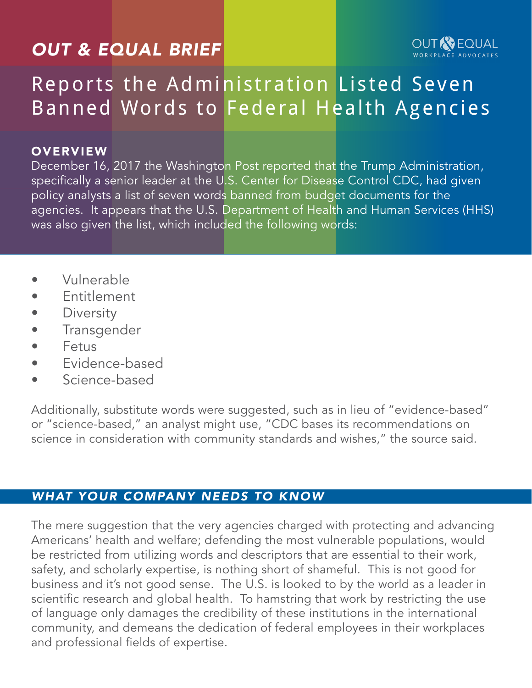## *OUT & EQUAL BRIEF*



# Reports the Administration Listed Seven Banned Words to Federal Health Agencies

### **OVERVIEW**

December 16, 2017 the Washington Post reported that the Trump Administration, specifically a senior leader at the U.S. Center for Disease Control CDC, had given policy analysts a list of seven words banned from budget documents for the agencies. It appears that the U.S. Department of Health and Human Services (HHS) was also given the list, which included the following words:

- Vulnerable
- **Fntitlement**
- **Diversity**
- **Transgender**
- Fetus
- Evidence-based
- Science-based

Additionally, substitute words were suggested, such as in lieu of "evidence-based" or "science-based," an analyst might use, "CDC bases its recommendations on science in consideration with community standards and wishes," the source said.

## *WHAT YOUR COMPANY NEEDS TO KNOW*

The mere suggestion that the very agencies charged with protecting and advancing Americans' health and welfare; defending the most vulnerable populations, would be restricted from utilizing words and descriptors that are essential to their work, safety, and scholarly expertise, is nothing short of shameful. This is not good for business and it's not good sense. The U.S. is looked to by the world as a leader in scientific research and global health. To hamstring that work by restricting the use of language only damages the credibility of these institutions in the international community, and demeans the dedication of federal employees in their workplaces and professional fields of expertise.